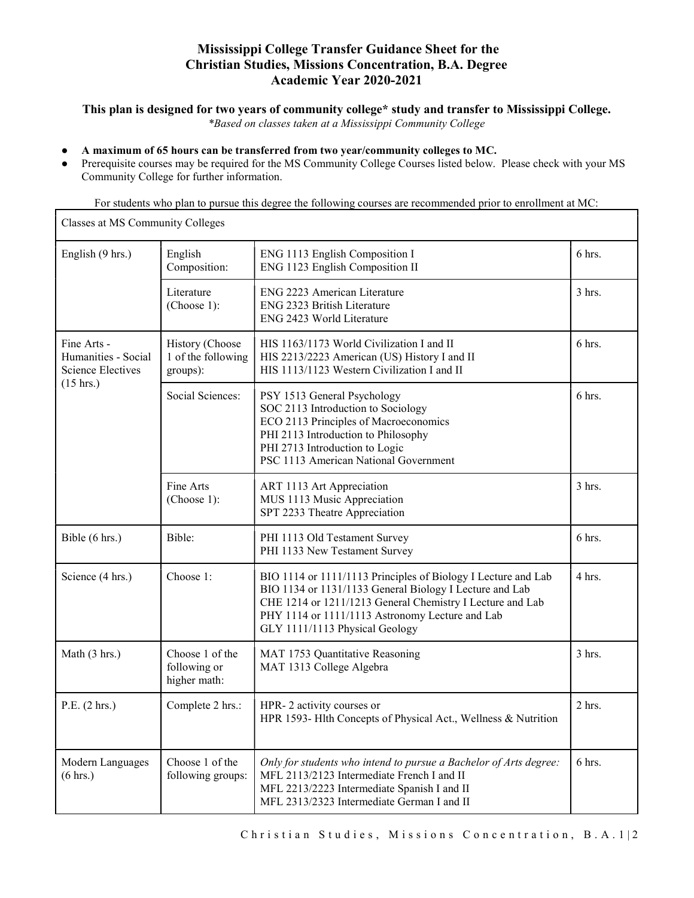# Mississippi College Transfer Guidance Sheet for the Christian Studies, Missions Concentration, B.A. Degree Academic Year 2020-2021

### This plan is designed for two years of community college\* study and transfer to Mississippi College.

\*Based on classes taken at a Mississippi Community College

### ● A maximum of 65 hours can be transferred from two year/community colleges to MC.

● Prerequisite courses may be required for the MS Community College Courses listed below. Please check with your MS Community College for further information.

For students who plan to pursue this degree the following courses are recommended prior to enrollment at MC:

| Classes at MS Community Colleges                                                      |                                                   |                                                                                                                                                                                                                                                                            |          |  |
|---------------------------------------------------------------------------------------|---------------------------------------------------|----------------------------------------------------------------------------------------------------------------------------------------------------------------------------------------------------------------------------------------------------------------------------|----------|--|
| English (9 hrs.)                                                                      | English<br>Composition:                           | ENG 1113 English Composition I<br>ENG 1123 English Composition II                                                                                                                                                                                                          | 6 hrs.   |  |
|                                                                                       | Literature<br>(Choose 1):                         | ENG 2223 American Literature<br>ENG 2323 British Literature<br>ENG 2423 World Literature                                                                                                                                                                                   | $3$ hrs. |  |
| Fine Arts -<br>Humanities - Social<br><b>Science Electives</b><br>$(15 \text{ hrs.})$ | History (Choose<br>1 of the following<br>groups): | HIS 1163/1173 World Civilization I and II<br>HIS 2213/2223 American (US) History I and II<br>HIS 1113/1123 Western Civilization I and II                                                                                                                                   | 6 hrs.   |  |
|                                                                                       | Social Sciences:                                  | PSY 1513 General Psychology<br>SOC 2113 Introduction to Sociology<br>ECO 2113 Principles of Macroeconomics<br>PHI 2113 Introduction to Philosophy<br>PHI 2713 Introduction to Logic<br>PSC 1113 American National Government                                               | $6$ hrs. |  |
|                                                                                       | Fine Arts<br>(Choose 1):                          | ART 1113 Art Appreciation<br>MUS 1113 Music Appreciation<br>SPT 2233 Theatre Appreciation                                                                                                                                                                                  | 3 hrs.   |  |
| Bible (6 hrs.)                                                                        | Bible:                                            | PHI 1113 Old Testament Survey<br>PHI 1133 New Testament Survey                                                                                                                                                                                                             | 6 hrs.   |  |
| Science (4 hrs.)                                                                      | Choose 1:                                         | BIO 1114 or 1111/1113 Principles of Biology I Lecture and Lab<br>BIO 1134 or 1131/1133 General Biology I Lecture and Lab<br>CHE 1214 or 1211/1213 General Chemistry I Lecture and Lab<br>PHY 1114 or 1111/1113 Astronomy Lecture and Lab<br>GLY 1111/1113 Physical Geology | 4 hrs.   |  |
| Math (3 hrs.)                                                                         | Choose 1 of the<br>following or<br>higher math:   | MAT 1753 Quantitative Reasoning<br>MAT 1313 College Algebra                                                                                                                                                                                                                | 3 hrs.   |  |
| P.E. (2 hrs.)                                                                         | Complete 2 hrs.:                                  | HPR-2 activity courses or<br>HPR 1593- Hlth Concepts of Physical Act., Wellness & Nutrition                                                                                                                                                                                | $2$ hrs. |  |
| Modern Languages<br>(6 hrs.)                                                          | Choose 1 of the<br>following groups:              | Only for students who intend to pursue a Bachelor of Arts degree:<br>MFL 2113/2123 Intermediate French I and II<br>MFL 2213/2223 Intermediate Spanish I and II<br>MFL 2313/2323 Intermediate German I and II                                                               | 6 hrs.   |  |